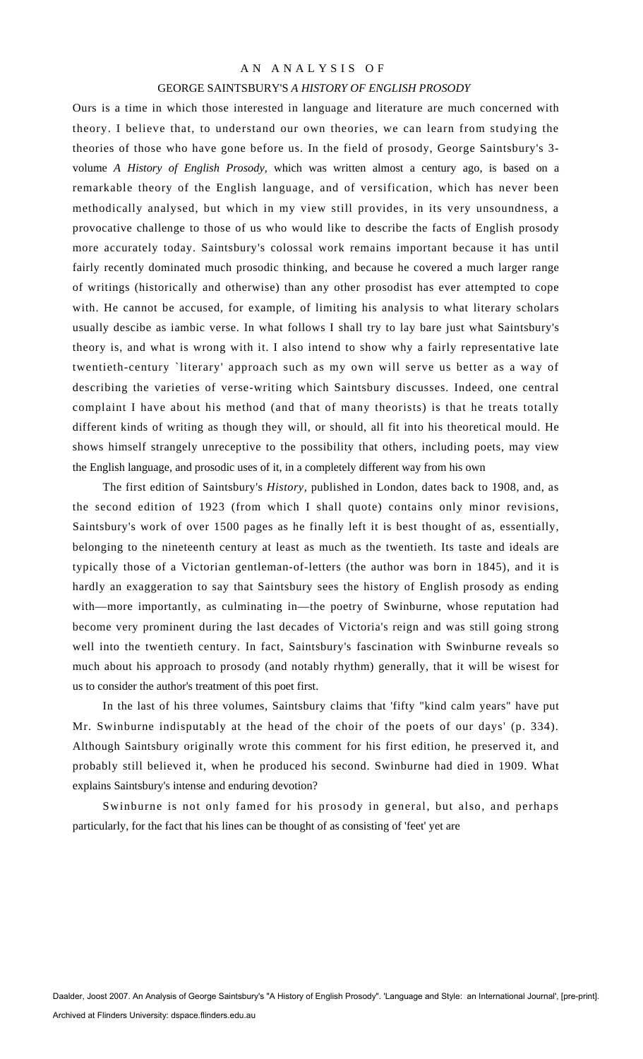## AN ANALYSIS OF

#### GEORGE SAINTSBURY'S *A HISTORY OF ENGLISH PROSODY*

Ours is a time in which those interested in language and literature are much concerned with theory. I believe that, to understand our own theories, we can learn from studying the theories of those who have gone before us. In the field of prosody, George Saintsbury's 3 volume *A History of English Prosody,* which was written almost a century ago, is based on a remarkable theory of the English language, and of versification, which has never been methodically analysed, but which in my view still provides, in its very unsoundness, a provocative challenge to those of us who would like to describe the facts of English prosody more accurately today. Saintsbury's colossal work remains important because it has until fairly recently dominated much prosodic thinking, and because he covered a much larger range of writings (historically and otherwise) than any other prosodist has ever attempted to cope with. He cannot be accused, for example, of limiting his analysis to what literary scholars usually descibe as iambic verse. In what follows I shall try to lay bare just what Saintsbury's theory is, and what is wrong with it. I also intend to show why a fairly representative late twentieth-century `literary' approach such as my own will serve us better as a way of describing the varieties of verse-writing which Saintsbury discusses. Indeed, one central complaint I have about his method (and that of many theorists) is that he treats totally different kinds of writing as though they will, or should, all fit into his theoretical mould. He shows himself strangely unreceptive to the possibility that others, including poets, may view the English language, and prosodic uses of it, in a completely different way from his own

The first edition of Saintsbury's *History,* published in London, dates back to 1908, and, as the second edition of 1923 (from which I shall quote) contains only minor revisions, Saintsbury's work of over 1500 pages as he finally left it is best thought of as, essentially, belonging to the nineteenth century at least as much as the twentieth. Its taste and ideals are typically those of a Victorian gentleman-of-letters (the author was born in 1845), and it is hardly an exaggeration to say that Saintsbury sees the history of English prosody as ending with—more importantly, as culminating in—the poetry of Swinburne, whose reputation had become very prominent during the last decades of Victoria's reign and was still going strong well into the twentieth century. In fact, Saintsbury's fascination with Swinburne reveals so much about his approach to prosody (and notably rhythm) generally, that it will be wisest for us to consider the author's treatment of this poet first.

In the last of his three volumes, Saintsbury claims that 'fifty "kind calm years" have put Mr. Swinburne indisputably at the head of the choir of the poets of our days' (p. 334). Although Saintsbury originally wrote this comment for his first edition, he preserved it, and probably still believed it, when he produced his second. Swinburne had died in 1909. What explains Saintsbury's intense and enduring devotion?

Swinburne is not only famed for his prosody in general, but also, and perhaps particularly, for the fact that his lines can be thought of as consisting of 'feet' yet are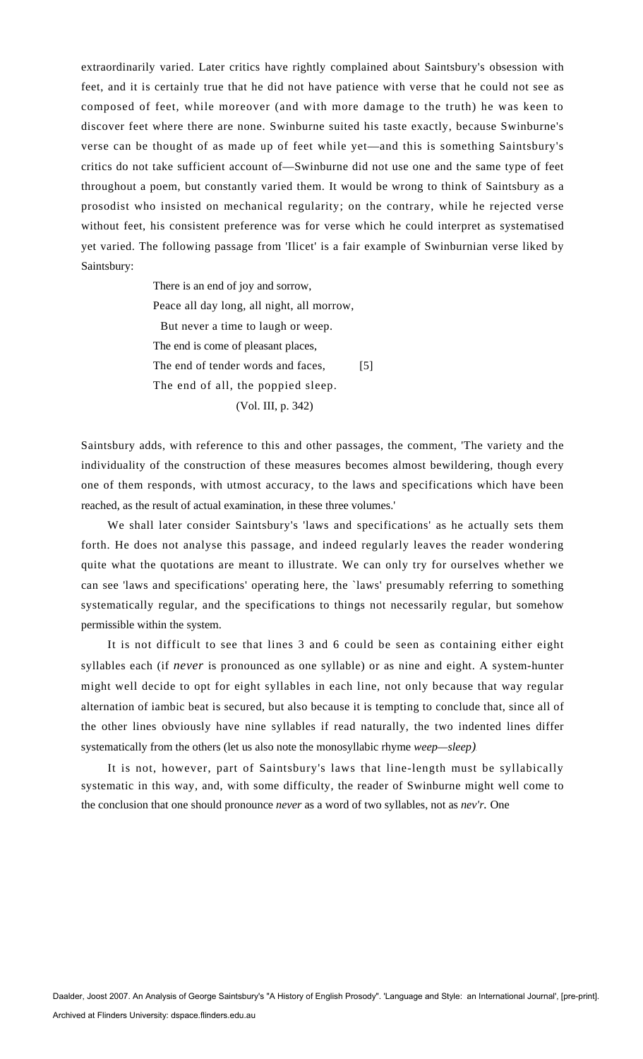extraordinarily varied. Later critics have rightly complained about Saintsbury's obsession with feet, and it is certainly true that he did not have patience with verse that he could not see as composed of feet, while moreover (and with more damage to the truth) he was keen to discover feet where there are none. Swinburne suited his taste exactly, because Swinburne's verse can be thought of as made up of feet while yet—and this is something Saintsbury's critics do not take sufficient account of—Swinburne did not use one and the same type of feet throughout a poem, but constantly varied them. It would be wrong to think of Saintsbury as a prosodist who insisted on mechanical regularity; on the contrary, while he rejected verse without feet, his consistent preference was for verse which he could interpret as systematised yet varied. The following passage from 'Ilicet' is a fair example of Swinburnian verse liked by Saintsbury:

> There is an end of joy and sorrow, Peace all day long, all night, all morrow, But never a time to laugh or weep. The end is come of pleasant places, The end of tender words and faces, [5] The end of all, the poppied sleep. (Vol. III, p. 342)

Saintsbury adds, with reference to this and other passages, the comment, 'The variety and the individuality of the construction of these measures becomes almost bewildering, though every one of them responds, with utmost accuracy, to the laws and specifications which have been reached, as the result of actual examination, in these three volumes.'

We shall later consider Saintsbury's 'laws and specifications' as he actually sets them forth. He does not analyse this passage, and indeed regularly leaves the reader wondering quite what the quotations are meant to illustrate. We can only try for ourselves whether we can see 'laws and specifications' operating here, the `laws' presumably referring to something systematically regular, and the specifications to things not necessarily regular, but somehow permissible within the system.

It is not difficult to see that lines 3 and 6 could be seen as containing either eight syllables each (if *never* is pronounced as one syllable) or as nine and eight. A system-hunter might well decide to opt for eight syllables in each line, not only because that way regular alternation of iambic beat is secured, but also because it is tempting to conclude that, since all of the other lines obviously have nine syllables if read naturally, the two indented lines differ systematically from the others (let us also note the monosyllabic rhyme *weep—sleep).*

It is not, however, part of Saintsbury's laws that line-length must be syllabically systematic in this way, and, with some difficulty, the reader of Swinburne might well come to the conclusion that one should pronounce *never* as a word of two syllables, not as *nev'r.* One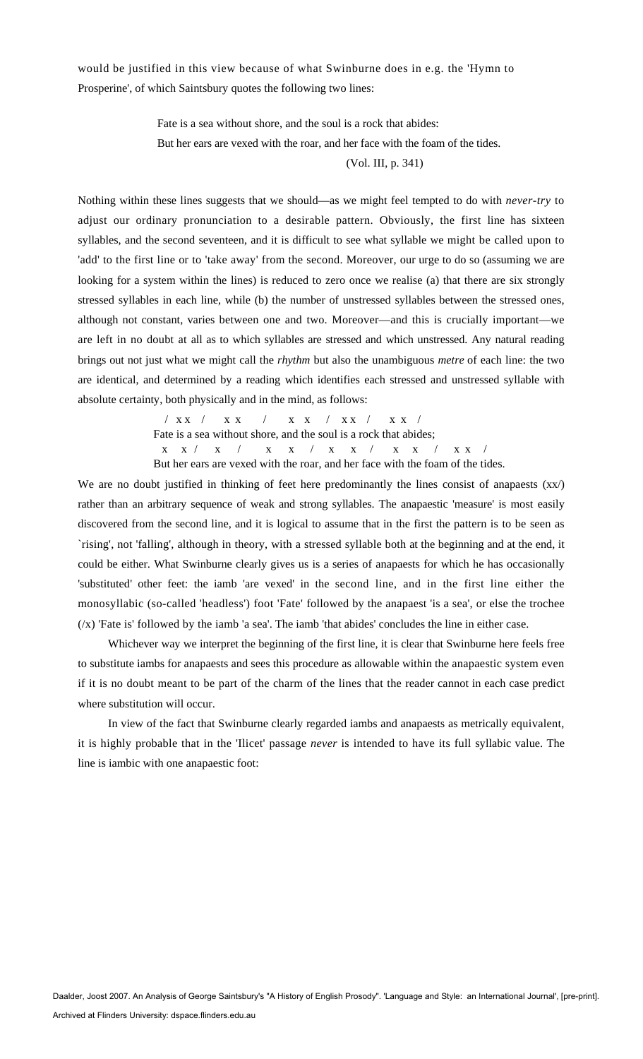would be justified in this view because of what Swinburne does in e.g. the 'Hymn to Prosperine', of which Saintsbury quotes the following two lines:

> Fate is a sea without shore, and the soul is a rock that abides: But her ears are vexed with the roar, and her face with the foam of the tides.

> > (Vol. III, p. 341)

Nothing within these lines suggests that we should—as we might feel tempted to do with *never-try* to adjust our ordinary pronunciation to a desirable pattern. Obviously, the first line has sixteen syllables, and the second seventeen, and it is difficult to see what syllable we might be called upon to 'add' to the first line or to 'take away' from the second. Moreover, our urge to do so (assuming we are looking for a system within the lines) is reduced to zero once we realise (a) that there are six strongly stressed syllables in each line, while (b) the number of unstressed syllables between the stressed ones, although not constant, varies between one and two. Moreover—and this is crucially important—we are left in no doubt at all as to which syllables are stressed and which unstressed. Any natural reading brings out not just what we might call the *rhythm* but also the unambiguous *metre* of each line: the two are identical, and determined by a reading which identifies each stressed and unstressed syllable with absolute certainty, both physically and in the mind, as follows:

> / x x / x x / x x / x x / x x / Fate is a sea without shore, and the soul is a rock that abides; x x / x / x x / x x / x x / x x / But her ears are vexed with the roar, and her face with the foam of the tides.

We are no doubt justified in thinking of feet here predominantly the lines consist of anapaests  $(xx/)$ rather than an arbitrary sequence of weak and strong syllables. The anapaestic 'measure' is most easily discovered from the second line, and it is logical to assume that in the first the pattern is to be seen as `rising', not 'falling', although in theory, with a stressed syllable both at the beginning and at the end, it could be either. What Swinburne clearly gives us is a series of anapaests for which he has occasionally 'substituted' other feet: the iamb 'are vexed' in the second line, and in the first line either the monosyllabic (so-called 'headless') foot 'Fate' followed by the anapaest 'is a sea', or else the trochee  $(x)$  'Fate is' followed by the iamb 'a sea'. The iamb 'that abides' concludes the line in either case.

Whichever way we interpret the beginning of the first line, it is clear that Swinburne here feels free to substitute iambs for anapaests and sees this procedure as allowable within the anapaestic system even if it is no doubt meant to be part of the charm of the lines that the reader cannot in each case predict where substitution will occur.

In view of the fact that Swinburne clearly regarded iambs and anapaests as metrically equivalent, it is highly probable that in the 'Ilicet' passage *never* is intended to have its full syllabic value. The line is iambic with one anapaestic foot: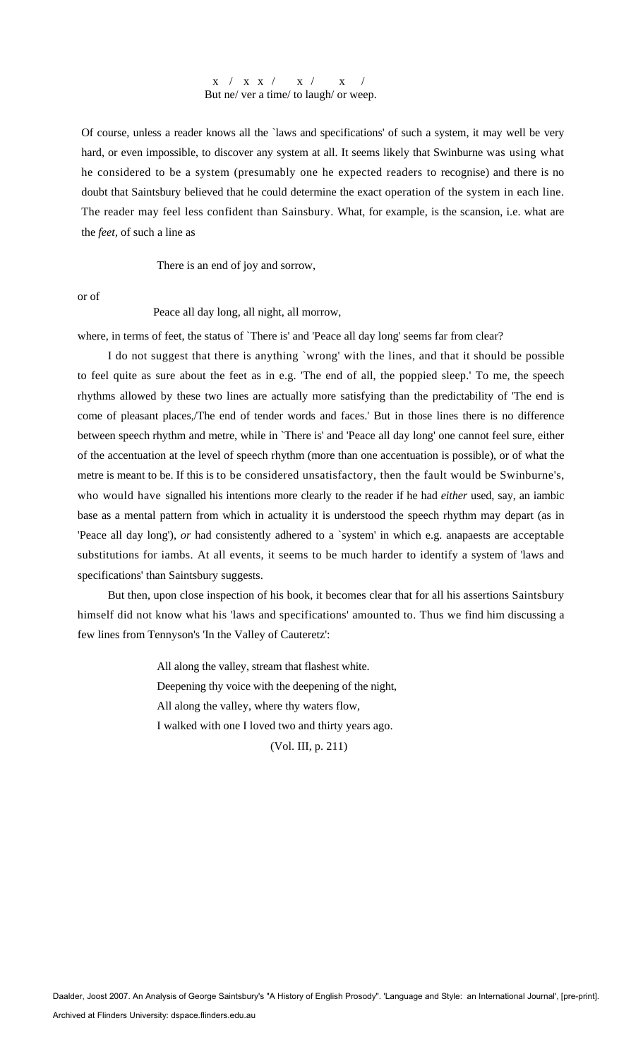### x / x x / x / x / But ne/ ver a time/ to laugh/ or weep.

Of course, unless a reader knows all the `laws and specifications' of such a system, it may well be very hard, or even impossible, to discover any system at all. It seems likely that Swinburne was using what he considered to be a system (presumably one he expected readers to recognise) and there is no doubt that Saintsbury believed that he could determine the exact operation of the system in each line. The reader may feel less confident than Sainsbury. What, for example, is the scansion, i.e. what are the *feet,* of such a line as

There is an end of joy and sorrow,

or of

Peace all day long, all night, all morrow,

where, in terms of feet, the status of 'There is' and 'Peace all day long' seems far from clear?

I do not suggest that there is anything `wrong' with the lines, and that it should be possible to feel quite as sure about the feet as in e.g. 'The end of all, the poppied sleep.' To me, the speech rhythms allowed by these two lines are actually more satisfying than the predictability of 'The end is come of pleasant places,/The end of tender words and faces.' But in those lines there is no difference between speech rhythm and metre, while in `There is' and 'Peace all day long' one cannot feel sure, either of the accentuation at the level of speech rhythm (more than one accentuation is possible), or of what the metre is meant to be. If this is to be considered unsatisfactory, then the fault would be Swinburne's, who would have signalled his intentions more clearly to the reader if he had *either* used, say, an iambic base as a mental pattern from which in actuality it is understood the speech rhythm may depart (as in 'Peace all day long'), *or* had consistently adhered to a 'system' in which e.g. anapaests are acceptable substitutions for iambs. At all events, it seems to be much harder to identify a system of 'laws and specifications' than Saintsbury suggests.

But then, upon close inspection of his book, it becomes clear that for all his assertions Saintsbury himself did not know what his 'laws and specifications' amounted to. Thus we find him discussing a few lines from Tennyson's 'In the Valley of Cauteretz':

> All along the valley, stream that flashest white. Deepening thy voice with the deepening of the night, All along the valley, where thy waters flow, I walked with one I loved two and thirty years ago.

(Vol. III, p. 211)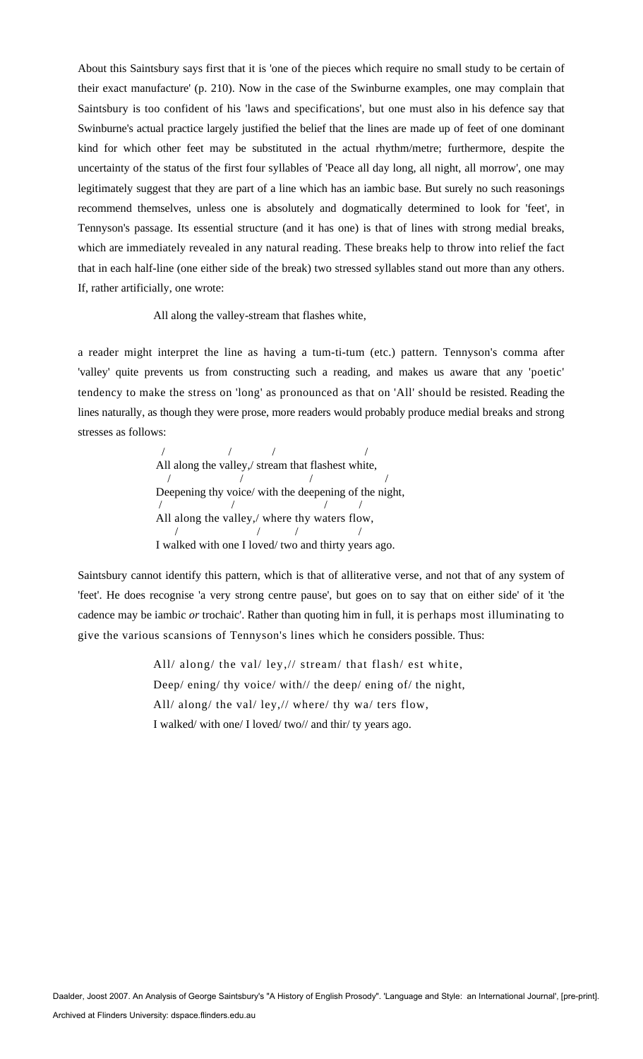About this Saintsbury says first that it is 'one of the pieces which require no small study to be certain of their exact manufacture' (p. 210). Now in the case of the Swinburne examples, one may complain that Saintsbury is too confident of his 'laws and specifications', but one must also in his defence say that Swinburne's actual practice largely justified the belief that the lines are made up of feet of one dominant kind for which other feet may be substituted in the actual rhythm/metre; furthermore, despite the uncertainty of the status of the first four syllables of 'Peace all day long, all night, all morrow', one may legitimately suggest that they are part of a line which has an iambic base. But surely no such reasonings recommend themselves, unless one is absolutely and dogmatically determined to look for 'feet', in Tennyson's passage. Its essential structure (and it has one) is that of lines with strong medial breaks, which are immediately revealed in any natural reading. These breaks help to throw into relief the fact that in each half-line (one either side of the break) two stressed syllables stand out more than any others. If, rather artificially, one wrote:

All along the valley-stream that flashes white,

a reader might interpret the line as having a tum-ti-tum (etc.) pattern. Tennyson's comma after 'valley' quite prevents us from constructing such a reading, and makes us aware that any 'poetic' tendency to make the stress on 'long' as pronounced as that on 'All' should be resisted. Reading the lines naturally, as though they were prose, more readers would probably produce medial breaks and strong stresses as follows:

> / / / / All along the valley,/ stream that flashest white, / / / / Deepening thy voice/ with the deepening of the night, / / / / All along the valley,/ where thy waters flow, / / / / I walked with one I loved/ two and thirty years ago.

Saintsbury cannot identify this pattern, which is that of alliterative verse, and not that of any system of 'feet'. He does recognise 'a very strong centre pause', but goes on to say that on either side' of it 'the cadence may be iambic *or* trochaic'. Rather than quoting him in full, it is perhaps most illuminating to give the various scansions of Tennyson's lines which he considers possible. Thus:

> All/ along/ the val/ ley,// stream/ that flash/ est white, Deep/ ening/ thy voice/ with// the deep/ ening of/ the night, All/ along/ the val/ ley,// where/ thy wa/ ters flow, I walked/ with one/ I loved/ two// and thir/ ty years ago.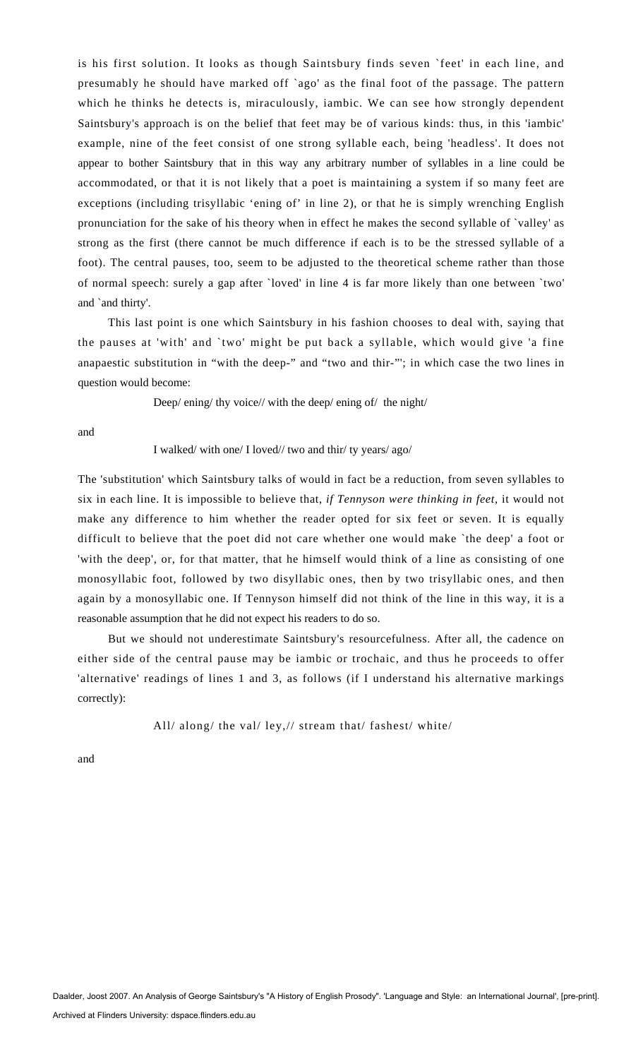is his first solution. It looks as though Saintsbury finds seven `feet' in each line, and presumably he should have marked off `ago' as the final foot of the passage. The pattern which he thinks he detects is, miraculously, iambic. We can see how strongly dependent Saintsbury's approach is on the belief that feet may be of various kinds: thus, in this 'iambic' example, nine of the feet consist of one strong syllable each, being 'headless'. It does not appear to bother Saintsbury that in this way any arbitrary number of syllables in a line could be accommodated, or that it is not likely that a poet is maintaining a system if so many feet are exceptions (including trisyllabic 'ening of' in line 2), or that he is simply wrenching English pronunciation for the sake of his theory when in effect he makes the second syllable of `valley' as strong as the first (there cannot be much difference if each is to be the stressed syllable of a foot). The central pauses, too, seem to be adjusted to the theoretical scheme rather than those of normal speech: surely a gap after `loved' in line 4 is far more likely than one between `two' and `and thirty'.

This last point is one which Saintsbury in his fashion chooses to deal with, saying that the pauses at 'with' and `two' might be put back a syllable, which would give 'a fine anapaestic substitution in "with the deep-" and "two and thir-"'; in which case the two lines in question would become:

Deep/ ening/ thy voice// with the deep/ ening of/ the night/

and

#### I walked/ with one/ I loved// two and thir/ ty years/ ago/

The 'substitution' which Saintsbury talks of would in fact be a reduction, from seven syllables to six in each line. It is impossible to believe that, *if Tennyson were thinking in feet,* it would not make any difference to him whether the reader opted for six feet or seven. It is equally difficult to believe that the poet did not care whether one would make `the deep' a foot or 'with the deep', or, for that matter, that he himself would think of a line as consisting of one monosyllabic foot, followed by two disyllabic ones, then by two trisyllabic ones, and then again by a monosyllabic one. If Tennyson himself did not think of the line in this way, it is a reasonable assumption that he did not expect his readers to do so.

But we should not underestimate Saintsbury's resourcefulness. After all, the cadence on either side of the central pause may be iambic or trochaic, and thus he proceeds to offer 'alternative' readings of lines 1 and 3, as follows (if I understand his alternative markings correctly):

All/ along/ the val/ ley,// stream that/ fashest/ white/

and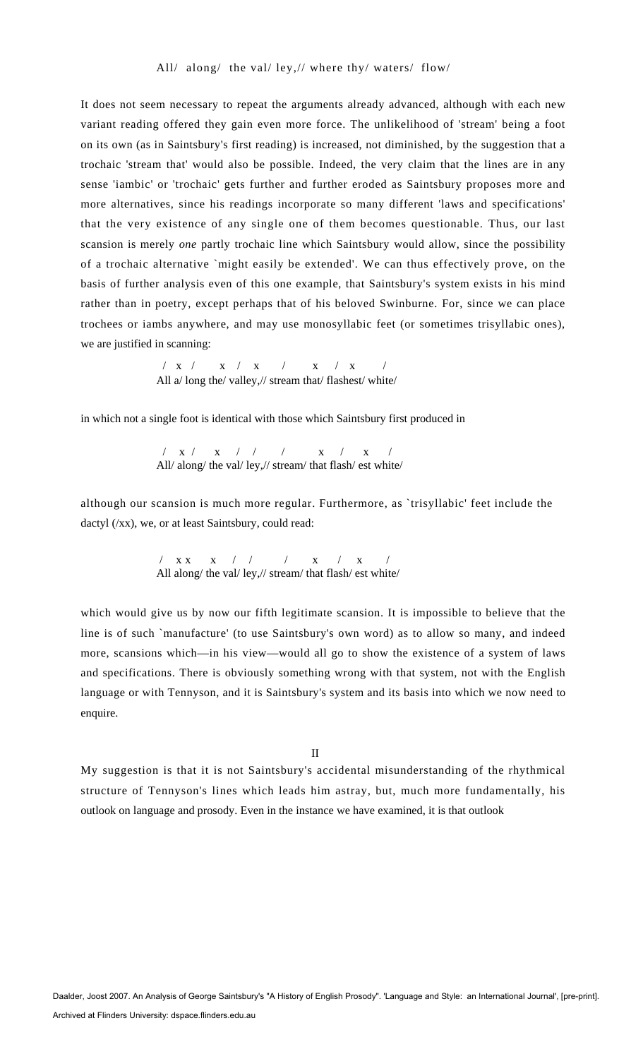It does not seem necessary to repeat the arguments already advanced, although with each new variant reading offered they gain even more force. The unlikelihood of 'stream' being a foot on its own (as in Saintsbury's first reading) is increased, not diminished, by the suggestion that a trochaic 'stream that' would also be possible. Indeed, the very claim that the lines are in any sense 'iambic' or 'trochaic' gets further and further eroded as Saintsbury proposes more and more alternatives, since his readings incorporate so many different 'laws and specifications' that the very existence of any single one of them becomes questionable. Thus, our last scansion is merely *one* partly trochaic line which Saintsbury would allow, since the possibility of a trochaic alternative `might easily be extended'. We can thus effectively prove, on the basis of further analysis even of this one example, that Saintsbury's system exists in his mind rather than in poetry, except perhaps that of his beloved Swinburne. For, since we can place trochees or iambs anywhere, and may use monosyllabic feet (or sometimes trisyllabic ones), we are justified in scanning:

> / x / x / x / x / x / All a/long the/ valley,// stream that/ flashest/ white/

in which not a single foot is identical with those which Saintsbury first produced in

 / x / x / / / x / x / All/ along/ the val/ ley,// stream/ that flash/ est white/

although our scansion is much more regular. Furthermore, as `trisyllabic' feet include the dactyl (/xx), we, or at least Saintsbury, could read:

> / x x x / / / x / x / All along/ the val/ ley,// stream/ that flash/ est white/

which would give us by now our fifth legitimate scansion. It is impossible to believe that the line is of such `manufacture' (to use Saintsbury's own word) as to allow so many, and indeed more, scansions which—in his view—would all go to show the existence of a system of laws and specifications. There is obviously something wrong with that system, not with the English language or with Tennyson, and it is Saintsbury's system and its basis into which we now need to enquire.

II

My suggestion is that it is not Saintsbury's accidental misunderstanding of the rhythmical structure of Tennyson's lines which leads him astray, but, much more fundamentally, his outlook on language and prosody. Even in the instance we have examined, it is that outlook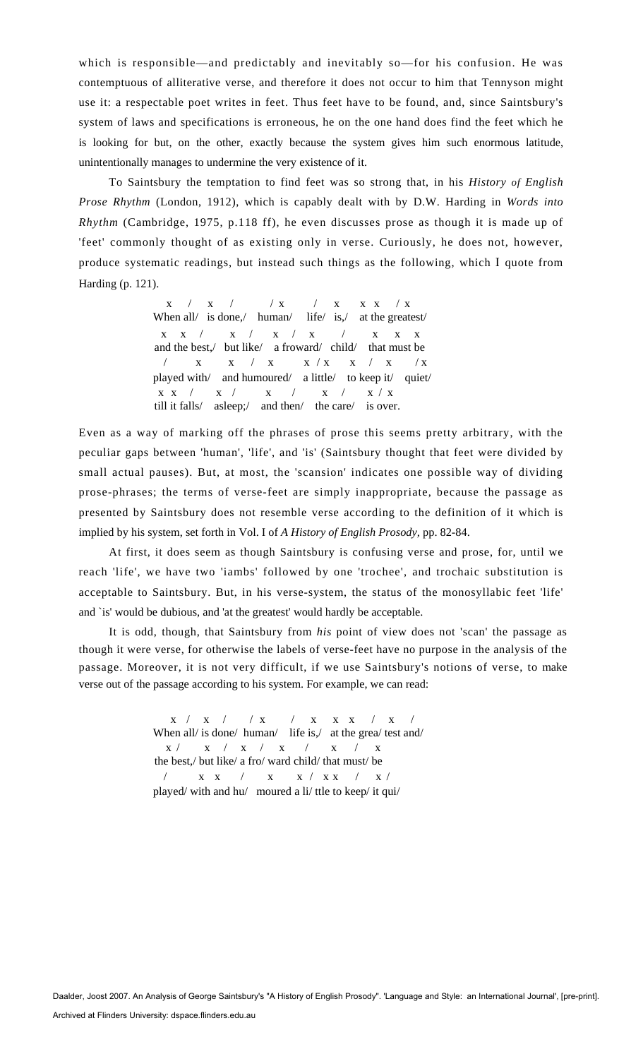which is responsible—and predictably and inevitably so—for his confusion. He was contemptuous of alliterative verse, and therefore it does not occur to him that Tennyson might use it: a respectable poet writes in feet. Thus feet have to be found, and, since Saintsbury's system of laws and specifications is erroneous, he on the one hand does find the feet which he is looking for but, on the other, exactly because the system gives him such enormous latitude, unintentionally manages to undermine the very existence of it.

To Saintsbury the temptation to find feet was so strong that, in his *History of English Prose Rhythm* (London, 1912), which is capably dealt with by D.W. Harding in *Words into Rhythm* (Cambridge, 1975, p.118 ff), he even discusses prose as though it is made up of 'feet' commonly thought of as existing only in verse. Curiously, he does not, however, produce systematic readings, but instead such things as the following, which I quote from Harding (p. 121).

 $\mathbf{x}$  /  $\mathbf{x}$  /  $\mathbf{x}$  /  $\mathbf{x}$  /  $\mathbf{x}$   $\mathbf{x}$   $\mathbf{x}$   $\mathbf{x}$   $\mathbf{x}$   $\mathbf{x}$   $\mathbf{x}$   $\mathbf{x}$   $\mathbf{x}$   $\mathbf{x}$   $\mathbf{x}$   $\mathbf{x}$   $\mathbf{x}$   $\mathbf{x}$   $\mathbf{x}$   $\mathbf{x}$   $\mathbf{x}$   $\mathbf{x}$   $\mathbf{x}$   $\mathbf{x}$   $\mathbf{x}$   $\mathbf{x}$   $\mathbf{x$ When all/ is done,/ human/ life/ is,/ at the greatest/  $\begin{array}{cccccccccccccccccc} \mathbf{X} & \mathbf{X} & / & \mathbf{X} & / & \mathbf{X} & / & \mathbf{X} & / & \mathbf{X} & \mathbf{X} & \mathbf{X} & \mathbf{X} & \mathbf{X} \end{array}$ and the best,/ but like/ a froward/ child/ that must be  $\sqrt{X}$  x / x x / x / x / x / x / x played with/ and humoured/ a little/ to keep it/ quiet/  $\begin{array}{cccccccccccccc} \mathbf{X} & \mathbf{X} & / & \mathbf{X} & / & \mathbf{X} & / & \mathbf{X} & / & \mathbf{X} & / & \mathbf{X} & / & \mathbf{X} & / & \mathbf{X} & \end{array}$ till it falls/ asleep;/ and then/ the care/ is over.

Even as a way of marking off the phrases of prose this seems pretty arbitrary, with the peculiar gaps between 'human', 'life', and 'is' (Saintsbury thought that feet were divided by small actual pauses). But, at most, the 'scansion' indicates one possible way of dividing prose-phrases; the terms of verse-feet are simply inappropriate, because the passage as presented by Saintsbury does not resemble verse according to the definition of it which is implied by his system, set forth in Vol. I of *A History of English Prosody,* pp. 82-84.

At first, it does seem as though Saintsbury is confusing verse and prose, for, until we reach 'life', we have two 'iambs' followed by one 'trochee', and trochaic substitution is acceptable to Saintsbury. But, in his verse-system, the status of the monosyllabic feet 'life' and `is' would be dubious, and 'at the greatest' would hardly be acceptable.

It is odd, though, that Saintsbury from *his* point of view does not 'scan' the passage as though it were verse, for otherwise the labels of verse-feet have no purpose in the analysis of the passage. Moreover, it is not very difficult, if we use Saintsbury's notions of verse, to make verse out of the passage according to his system. For example, we can read:

> $\begin{array}{cccccccccccccccccc} \mathbf{X} & / & \mathbf{X} & / & \mathbf{X} & \mathbf{X} & / & \mathbf{X} & \mathbf{X} & \mathbf{X} & \mathbf{X} & / & \mathbf{X} \end{array}$ When all/ is done/ human/ life is,/ at the grea/ test and/  $\mathbf{x} \ / \qquad \mathbf{x} \ / \quad \mathbf{x} \ / \quad \mathbf{x} \ / \quad \mathbf{x} \ / \quad \mathbf{x} \ / \quad \mathbf{x}$ the best,/ but like/ a fro/ ward child/ that must/ be / x x / x x / x x / x / played/ with and hu/ moured a li/ ttle to keep/ it qui/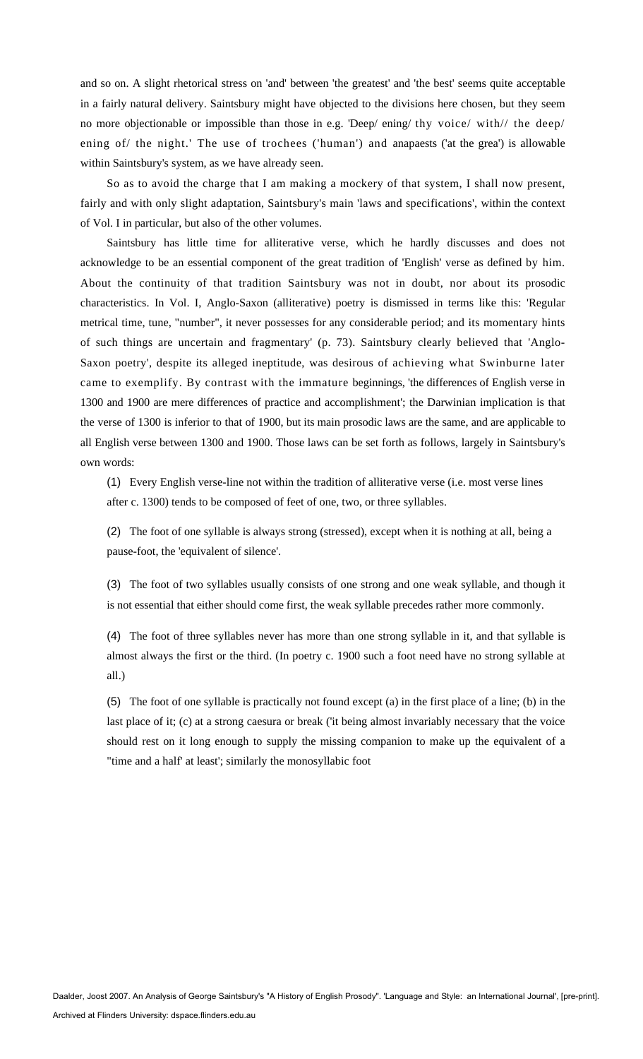and so on. A slight rhetorical stress on 'and' between 'the greatest' and 'the best' seems quite acceptable in a fairly natural delivery. Saintsbury might have objected to the divisions here chosen, but they seem no more objectionable or impossible than those in e.g. 'Deep/ ening/ thy voice/ with// the deep/ ening of/ the night.' The use of trochees ('human') and anapaests ('at the grea') is allowable within Saintsbury's system, as we have already seen.

So as to avoid the charge that I am making a mockery of that system, I shall now present, fairly and with only slight adaptation, Saintsbury's main 'laws and specifications', within the context of Vol. I in particular, but also of the other volumes.

Saintsbury has little time for alliterative verse, which he hardly discusses and does not acknowledge to be an essential component of the great tradition of 'English' verse as defined by him. About the continuity of that tradition Saintsbury was not in doubt, nor about its prosodic characteristics. In Vol. I, Anglo-Saxon (alliterative) poetry is dismissed in terms like this: 'Regular metrical time, tune, "number", it never possesses for any considerable period; and its momentary hints of such things are uncertain and fragmentary' (p. 73). Saintsbury clearly believed that 'Anglo-Saxon poetry', despite its alleged ineptitude, was desirous of achieving what Swinburne later came to exemplify. By contrast with the immature beginnings, 'the differences of English verse in 1300 and 1900 are mere differences of practice and accomplishment'; the Darwinian implication is that the verse of 1300 is inferior to that of 1900, but its main prosodic laws are the same, and are applicable to all English verse between 1300 and 1900. Those laws can be set forth as follows, largely in Saintsbury's own words:

(1) Every English verse-line not within the tradition of alliterative verse (i.e. most verse lines after c. 1300) tends to be composed of feet of one, two, or three syllables.

(2) The foot of one syllable is always strong (stressed), except when it is nothing at all, being a pause-foot, the 'equivalent of silence'.

(3) The foot of two syllables usually consists of one strong and one weak syllable, and though it is not essential that either should come first, the weak syllable precedes rather more commonly.

(4) The foot of three syllables never has more than one strong syllable in it, and that syllable is almost always the first or the third. (In poetry c. 1900 such a foot need have no strong syllable at all.)

(5) The foot of one syllable is practically not found except (a) in the first place of a line; (b) in the last place of it; (c) at a strong caesura or break ('it being almost invariably necessary that the voice should rest on it long enough to supply the missing companion to make up the equivalent of a "time and a half' at least'; similarly the monosyllabic foot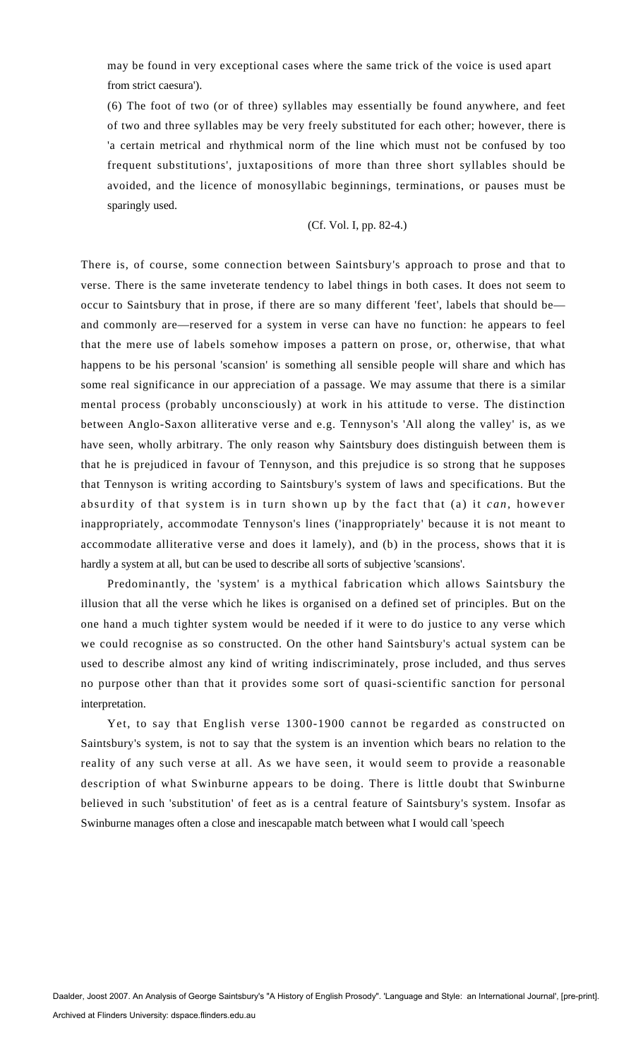may be found in very exceptional cases where the same trick of the voice is used apart from strict caesura').

(6) The foot of two (or of three) syllables may essentially be found anywhere, and feet of two and three syllables may be very freely substituted for each other; however, there is 'a certain metrical and rhythmical norm of the line which must not be confused by too frequent substitutions', juxtapositions of more than three short syllables should be avoided, and the licence of monosyllabic beginnings, terminations, or pauses must be sparingly used.

(Cf. Vol. I, pp. 82-4.)

There is, of course, some connection between Saintsbury's approach to prose and that to verse. There is the same inveterate tendency to label things in both cases. It does not seem to occur to Saintsbury that in prose, if there are so many different 'feet', labels that should be and commonly are—reserved for a system in verse can have no function: he appears to feel that the mere use of labels somehow imposes a pattern on prose, or, otherwise, that what happens to be his personal 'scansion' is something all sensible people will share and which has some real significance in our appreciation of a passage. We may assume that there is a similar mental process (probably unconsciously) at work in his attitude to verse. The distinction between Anglo-Saxon alliterative verse and e.g. Tennyson's 'All along the valley' is, as we have seen, wholly arbitrary. The only reason why Saintsbury does distinguish between them is that he is prejudiced in favour of Tennyson, and this prejudice is so strong that he supposes that Tennyson is writing according to Saintsbury's system of laws and specifications. But the absurdity of that system is in turn shown up by the fact that (a) it *can,* however inappropriately, accommodate Tennyson's lines ('inappropriately' because it is not meant to accommodate alliterative verse and does it lamely), and (b) in the process, shows that it is hardly a system at all, but can be used to describe all sorts of subjective 'scansions'.

Predominantly, the 'system' is a mythical fabrication which allows Saintsbury the illusion that all the verse which he likes is organised on a defined set of principles. But on the one hand a much tighter system would be needed if it were to do justice to any verse which we could recognise as so constructed. On the other hand Saintsbury's actual system can be used to describe almost any kind of writing indiscriminately, prose included, and thus serves no purpose other than that it provides some sort of quasi-scientific sanction for personal interpretation.

Yet, to say that English verse 1300-1900 cannot be regarded as constructed on Saintsbury's system, is not to say that the system is an invention which bears no relation to the reality of any such verse at all. As we have seen, it would seem to provide a reasonable description of what Swinburne appears to be doing. There is little doubt that Swinburne believed in such 'substitution' of feet as is a central feature of Saintsbury's system. Insofar as Swinburne manages often a close and inescapable match between what I would call 'speech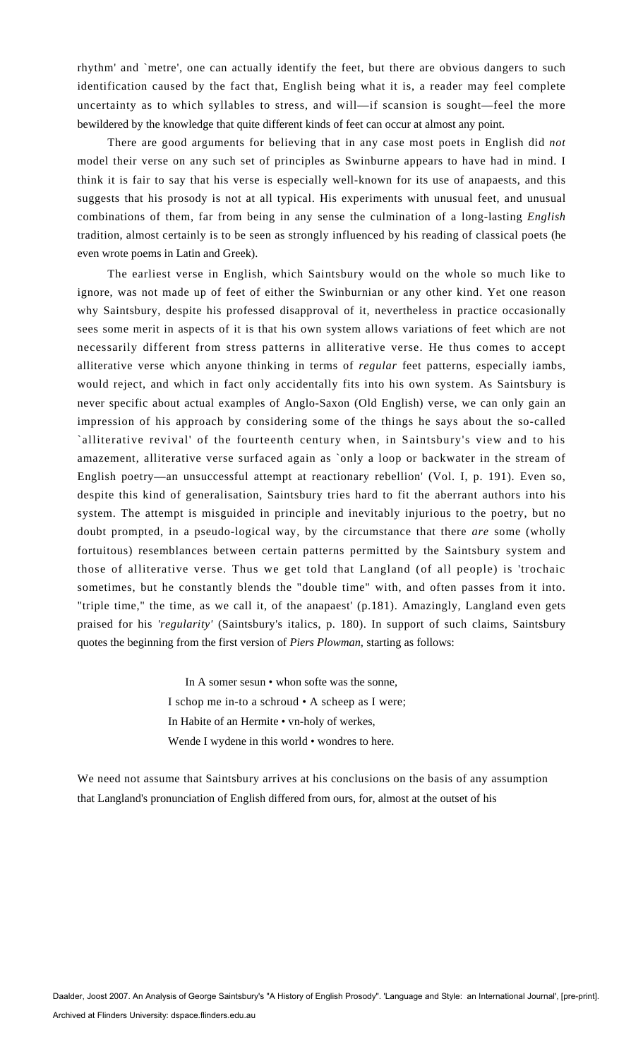rhythm' and `metre', one can actually identify the feet, but there are obvious dangers to such identification caused by the fact that, English being what it is, a reader may feel complete uncertainty as to which syllables to stress, and will—if scansion is sought—feel the more bewildered by the knowledge that quite different kinds of feet can occur at almost any point.

There are good arguments for believing that in any case most poets in English did *not*  model their verse on any such set of principles as Swinburne appears to have had in mind. I think it is fair to say that his verse is especially well-known for its use of anapaests, and this suggests that his prosody is not at all typical. His experiments with unusual feet, and unusual combinations of them, far from being in any sense the culmination of a long-lasting *English*  tradition, almost certainly is to be seen as strongly influenced by his reading of classical poets (he even wrote poems in Latin and Greek).

The earliest verse in English, which Saintsbury would on the whole so much like to ignore, was not made up of feet of either the Swinburnian or any other kind. Yet one reason why Saintsbury, despite his professed disapproval of it, nevertheless in practice occasionally sees some merit in aspects of it is that his own system allows variations of feet which are not necessarily different from stress patterns in alliterative verse. He thus comes to accept alliterative verse which anyone thinking in terms of *regular* feet patterns, especially iambs, would reject, and which in fact only accidentally fits into his own system. As Saintsbury is never specific about actual examples of Anglo-Saxon (Old English) verse, we can only gain an impression of his approach by considering some of the things he says about the so-called `alliterative revival' of the fourteenth century when, in Saintsbury's view and to his amazement, alliterative verse surfaced again as `only a loop or backwater in the stream of English poetry—an unsuccessful attempt at reactionary rebellion' (Vol. I, p. 191). Even so, despite this kind of generalisation, Saintsbury tries hard to fit the aberrant authors into his system. The attempt is misguided in principle and inevitably injurious to the poetry, but no doubt prompted, in a pseudo-logical way, by the circumstance that there *are* some (wholly fortuitous) resemblances between certain patterns permitted by the Saintsbury system and those of alliterative verse. Thus we get told that Langland (of all people) is 'trochaic sometimes, but he constantly blends the "double time" with, and often passes from it into. "triple time," the time, as we call it, of the anapaest' (p.181). Amazingly, Langland even gets praised for his *'regularity'* (Saintsbury's italics, p. 180). In support of such claims, Saintsbury quotes the beginning from the first version of *Piers Plowman,* starting as follows:

> In A somer sesun • whon softe was the sonne, I schop me in-to a schroud • A scheep as I were; In Habite of an Hermite • vn-holy of werkes, Wende I wydene in this world • wondres to here.

We need not assume that Saintsbury arrives at his conclusions on the basis of any assumption that Langland's pronunciation of English differed from ours, for, almost at the outset of his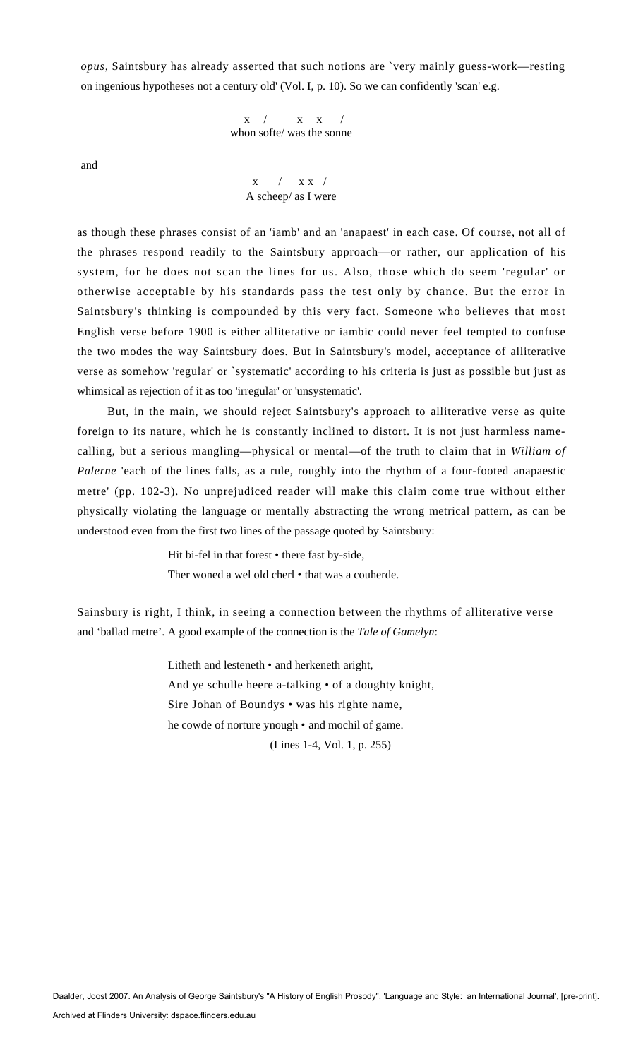*opus,* Saintsbury has already asserted that such notions are `very mainly guess-work—resting on ingenious hypotheses not a century old' (Vol. I, p. 10). So we can confidently 'scan' e.g.

> $x / x x /$ whon softe/ was the sonne

and

 $x / x / x$ A scheep/ as I were

as though these phrases consist of an 'iamb' and an 'anapaest' in each case. Of course, not all of the phrases respond readily to the Saintsbury approach—or rather, our application of his system, for he does not scan the lines for us. Also, those which do seem 'regular' or otherwise acceptable by his standards pass the test only by chance. But the error in Saintsbury's thinking is compounded by this very fact. Someone who believes that most English verse before 1900 is either alliterative or iambic could never feel tempted to confuse the two modes the way Saintsbury does. But in Saintsbury's model, acceptance of alliterative verse as somehow 'regular' or `systematic' according to his criteria is just as possible but just as whimsical as rejection of it as too 'irregular' or 'unsystematic'.

But, in the main, we should reject Saintsbury's approach to alliterative verse as quite foreign to its nature, which he is constantly inclined to distort. It is not just harmless namecalling, but a serious mangling—physical or mental—of the truth to claim that in *William of Palerne* 'each of the lines falls, as a rule, roughly into the rhythm of a four-footed anapaestic metre' (pp. 102-3). No unprejudiced reader will make this claim come true without either physically violating the language or mentally abstracting the wrong metrical pattern, as can be understood even from the first two lines of the passage quoted by Saintsbury:

> Hit bi-fel in that forest • there fast by-side, Ther woned a wel old cherl • that was a couherde.

Sainsbury is right, I think, in seeing a connection between the rhythms of alliterative verse and 'ballad metre'. A good example of the connection is the *Tale of Gamelyn*:

> Litheth and lesteneth • and herkeneth aright, And ye schulle heere a-talking • of a doughty knight, Sire Johan of Boundys • was his righte name, he cowde of norture ynough • and mochil of game. (Lines 1-4, Vol. 1, p. 255)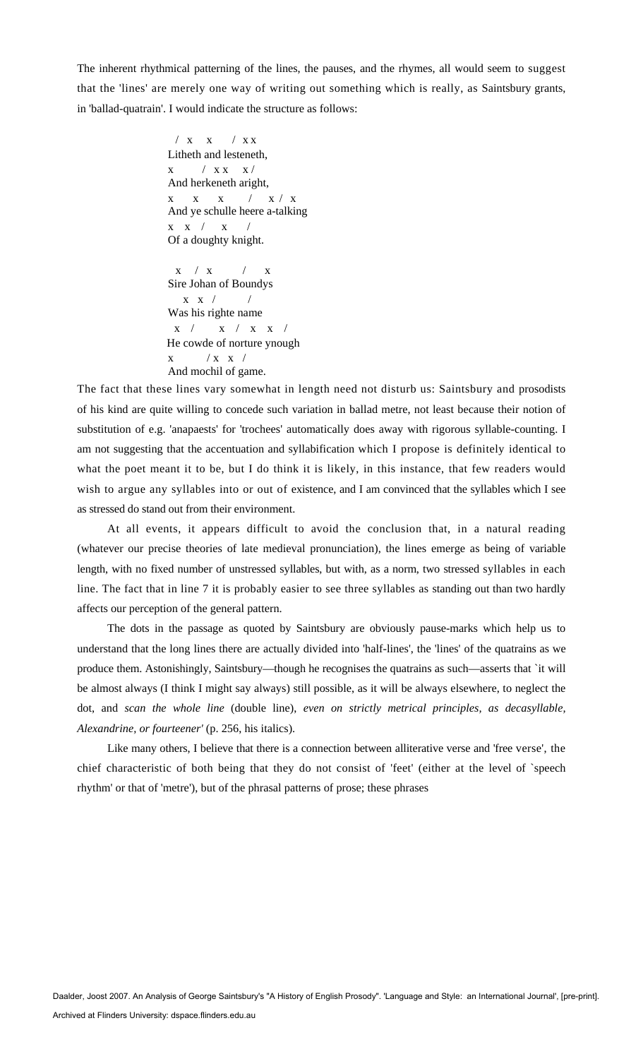The inherent rhythmical patterning of the lines, the pauses, and the rhymes, all would seem to suggest that the 'lines' are merely one way of writing out something which is really, as Saintsbury grants, in 'ballad-quatrain'. I would indicate the structure as follows:

> / x x / x x Litheth and lesteneth,  $x$  /  $x x$   $x$  / And herkeneth aright, x x x / x / x And ye schulle heere a-talking  $x \times / x$ Of a doughty knight.

 $x / x / x$  /  $x$ Sire Johan of Boundys  $x \times /$ Was his righte name  $\mathbf{x}$  /  $\mathbf{x}$  /  $\mathbf{x}$   $\mathbf{x}$  / He cowde of norture ynough  $x$  /  $x$   $x$  / And mochil of game.

The fact that these lines vary somewhat in length need not disturb us: Saintsbury and prosodists of his kind are quite willing to concede such variation in ballad metre, not least because their notion of substitution of e.g. 'anapaests' for 'trochees' automatically does away with rigorous syllable-counting. I am not suggesting that the accentuation and syllabification which I propose is definitely identical to what the poet meant it to be, but I do think it is likely, in this instance, that few readers would wish to argue any syllables into or out of existence, and I am convinced that the syllables which I see as stressed do stand out from their environment.

At all events, it appears difficult to avoid the conclusion that, in a natural reading (whatever our precise theories of late medieval pronunciation), the lines emerge as being of variable length, with no fixed number of unstressed syllables, but with, as a norm, two stressed syllables in each line. The fact that in line 7 it is probably easier to see three syllables as standing out than two hardly affects our perception of the general pattern.

The dots in the passage as quoted by Saintsbury are obviously pause-marks which help us to understand that the long lines there are actually divided into 'half-lines', the 'lines' of the quatrains as we produce them. Astonishingly, Saintsbury—though he recognises the quatrains as such—asserts that `it will be almost always (I think I might say always) still possible, as it will be always elsewhere, to neglect the dot, and *scan the whole line* (double line), *even on strictly metrical principles, as decasyllable, Alexandrine, or fourteener'* (p. 256, his italics).

Like many others, I believe that there is a connection between alliterative verse and 'free verse', the chief characteristic of both being that they do not consist of 'feet' (either at the level of `speech rhythm' or that of 'metre'), but of the phrasal patterns of prose; these phrases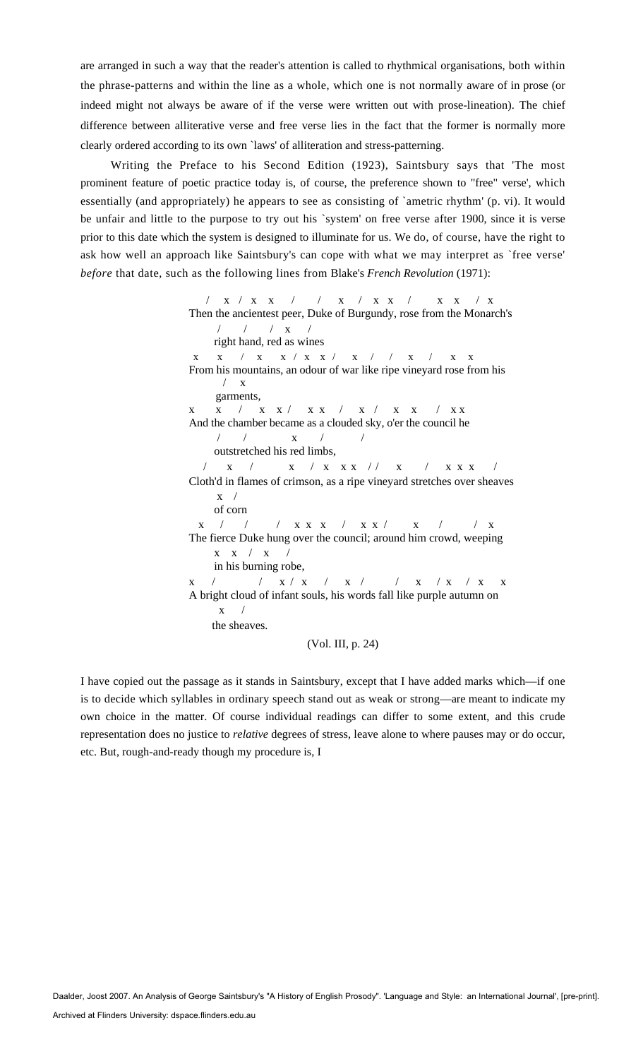are arranged in such a way that the reader's attention is called to rhythmical organisations, both within the phrase-patterns and within the line as a whole, which one is not normally aware of in prose (or indeed might not always be aware of if the verse were written out with prose-lineation). The chief difference between alliterative verse and free verse lies in the fact that the former is normally more clearly ordered according to its own `laws' of alliteration and stress-patterning.

Writing the Preface to his Second Edition (1923), Saintsbury says that 'The most prominent feature of poetic practice today is, of course, the preference shown to "free" verse', which essentially (and appropriately) he appears to see as consisting of `ametric rhythm' (p. vi). It would be unfair and little to the purpose to try out his `system' on free verse after 1900, since it is verse prior to this date which the system is designed to illuminate for us. We do, of course, have the right to ask how well an approach like Saintsbury's can cope with what we may interpret as `free verse' *before* that date, such as the following lines from Blake's *French Revolution* (1971):

> / x / x x / / x / x x / x x / x Then the ancientest peer, Duke of Burgundy, rose from the Monarch's / / / x / right hand, red as wines x / x x / x x / x / x / x x x x From his mountains, an odour of war like ripe vineyard rose from his  $\sqrt{X}$  garments, x x / x x / x x / x / x x / x x And the chamber became as a clouded sky, o'er the council he / / x / / outstretched his red limbs, / x / x / x x x / / x / x x x / Cloth'd in flames of crimson, as a ripe vineyard stretches over sheaves  $x /$  of corn x / / x x x / x x / x / x x / x The fierce Duke hung over the council; around him crowd, weeping  $x \times / x / x$  in his burning robe,  $\left| \begin{array}{cccc} \textbf{X} & \textbf{X} & \textbf{X} & \textbf{X} & \textbf{X} & \textbf{X} & \textbf{X} & \textbf{X} & \textbf{X} & \textbf{X} & \textbf{X} & \textbf{X} & \textbf{X} & \textbf{X} & \textbf{X} & \textbf{X} & \textbf{X} & \textbf{X} & \textbf{X} & \textbf{X} & \textbf{X} & \textbf{X} & \textbf{X} & \textbf{X} & \textbf{X} & \textbf{X} & \textbf{X} & \textbf{X} & \textbf{X} & \textbf{X} &$ A bright cloud of infant souls, his words fall like purple autumn on  $x /$  the sheaves. (Vol. III, p. 24)

I have copied out the passage as it stands in Saintsbury, except that I have added marks which—if one is to decide which syllables in ordinary speech stand out as weak or strong—are meant to indicate my own choice in the matter. Of course individual readings can differ to some extent, and this crude representation does no justice to *relative* degrees of stress, leave alone to where pauses may or do occur, etc. But, rough-and-ready though my procedure is, I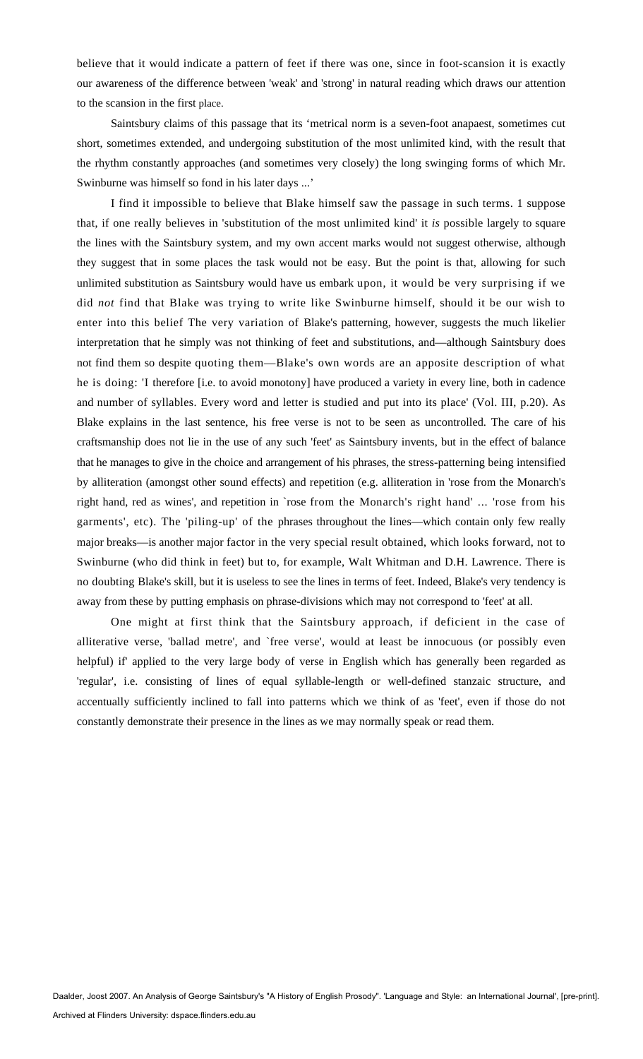believe that it would indicate a pattern of feet if there was one, since in foot-scansion it is exactly our awareness of the difference between 'weak' and 'strong' in natural reading which draws our attention to the scansion in the first place.

Saintsbury claims of this passage that its 'metrical norm is a seven-foot anapaest, sometimes cut short, sometimes extended, and undergoing substitution of the most unlimited kind, with the result that the rhythm constantly approaches (and sometimes very closely) the long swinging forms of which Mr. Swinburne was himself so fond in his later days ...'

I find it impossible to believe that Blake himself saw the passage in such terms. 1 suppose that, if one really believes in 'substitution of the most unlimited kind' it *is* possible largely to square the lines with the Saintsbury system, and my own accent marks would not suggest otherwise, although they suggest that in some places the task would not be easy. But the point is that, allowing for such unlimited substitution as Saintsbury would have us embark upon, it would be very surprising if we did *not* find that Blake was trying to write like Swinburne himself, should it be our wish to enter into this belief The very variation of Blake's patterning, however, suggests the much likelier interpretation that he simply was not thinking of feet and substitutions, and—although Saintsbury does not find them so despite quoting them—Blake's own words are an apposite description of what he is doing: 'I therefore [i.e. to avoid monotony] have produced a variety in every line, both in cadence and number of syllables. Every word and letter is studied and put into its place' (Vol. III, p.20). As Blake explains in the last sentence, his free verse is not to be seen as uncontrolled. The care of his craftsmanship does not lie in the use of any such 'feet' as Saintsbury invents, but in the effect of balance that he manages to give in the choice and arrangement of his phrases, the stress-patterning being intensified by alliteration (amongst other sound effects) and repetition (e.g. alliteration in 'rose from the Monarch's right hand, red as wines', and repetition in `rose from the Monarch's right hand' ... 'rose from his garments', etc). The 'piling-up' of the phrases throughout the lines—which contain only few really major breaks—is another major factor in the very special result obtained, which looks forward, not to Swinburne (who did think in feet) but to, for example, Walt Whitman and D.H. Lawrence. There is no doubting Blake's skill, but it is useless to see the lines in terms of feet. Indeed, Blake's very tendency is away from these by putting emphasis on phrase-divisions which may not correspond to 'feet' at all.

One might at first think that the Saintsbury approach, if deficient in the case of alliterative verse, 'ballad metre', and `free verse', would at least be innocuous (or possibly even helpful) if' applied to the very large body of verse in English which has generally been regarded as 'regular', i.e. consisting of lines of equal syllable-length or well-defined stanzaic structure, and accentually sufficiently inclined to fall into patterns which we think of as 'feet', even if those do not constantly demonstrate their presence in the lines as we may normally speak or read them.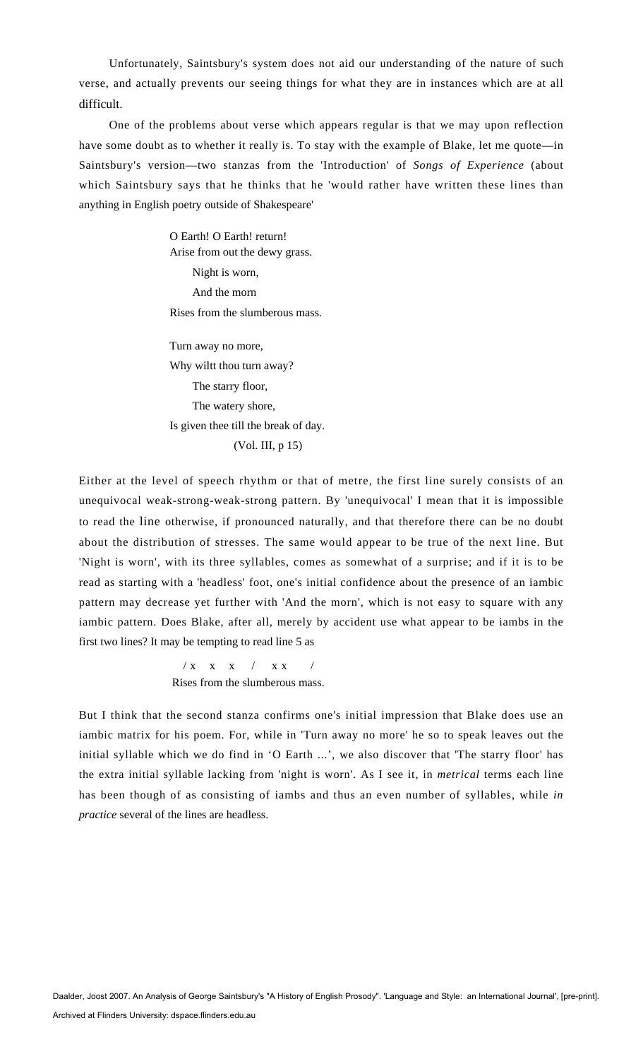Unfortunately, Saintsbury's system does not aid our understanding of the nature of such verse, and actually prevents our seeing things for what they are in instances which are at all difficult.

One of the problems about verse which appears regular is that we may upon reflection have some doubt as to whether it really is. To stay with the example of Blake, let me quote—in Saintsbury's version—two stanzas from the 'Introduction' of *Songs of Experience* (about which Saintsbury says that he thinks that he 'would rather have written these lines than anything in English poetry outside of Shakespeare'

> O Earth! O Earth! return! Arise from out the dewy grass. Night is worn, And the morn Rises from the slumberous mass.

> Turn away no more, Why wiltt thou turn away? The starry floor, The watery shore, Is given thee till the break of day. (Vol. III, p 15)

Either at the level of speech rhythm or that of metre, the first line surely consists of an unequivocal weak-strong-weak-strong pattern. By 'unequivocal' I mean that it is impossible to read the line otherwise, if pronounced naturally, and that therefore there can be no doubt about the distribution of stresses. The same would appear to be true of the next line. But 'Night is worn', with its three syllables, comes as somewhat of a surprise; and if it is to be read as starting with a 'headless' foot, one's initial confidence about the presence of an iambic pattern may decrease yet further with 'And the morn', which is not easy to square with any iambic pattern. Does Blake, after all, merely by accident use what appear to be iambs in the first two lines? It may be tempting to read line 5 as

> $/ x$  x x  $/ x$ Rises from the slumberous mass.

But I think that the second stanza confirms one's initial impression that Blake does use an iambic matrix for his poem. For, while in 'Turn away no more' he so to speak leaves out the initial syllable which we do find in 'O Earth ...', we also discover that 'The starry floor' has the extra initial syllable lacking from 'night is worn'. As I see it, in *metrical* terms each line has been though of as consisting of iambs and thus an even number of syllables, while *in practice* several of the lines are headless.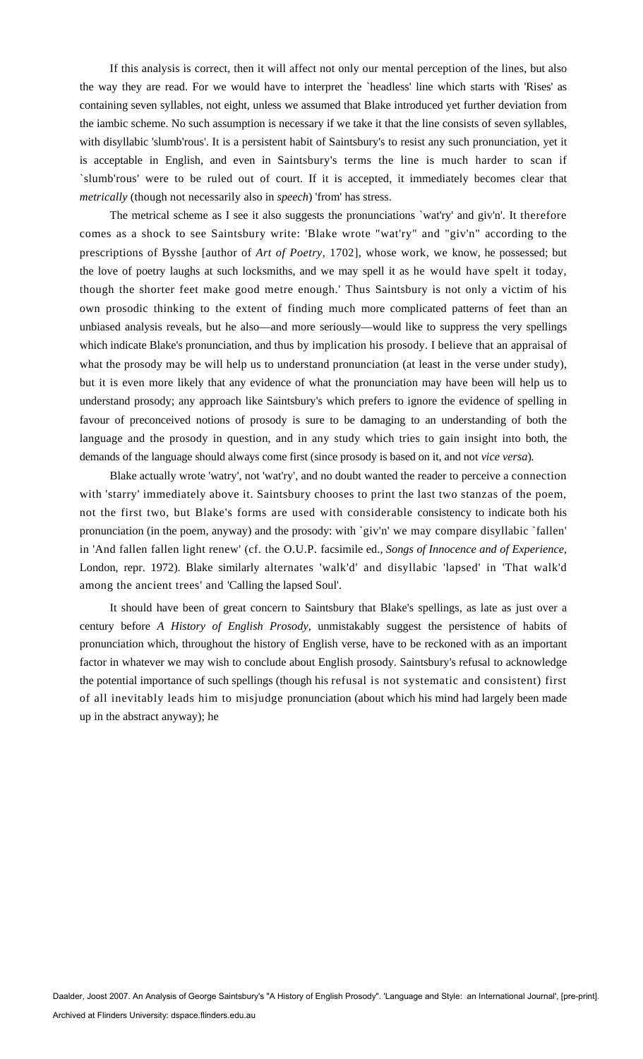If this analysis is correct, then it will affect not only our mental perception of the lines, but also the way they are read. For we would have to interpret the `headless' line which starts with 'Rises' as containing seven syllables, not eight, unless we assumed that Blake introduced yet further deviation from the iambic scheme. No such assumption is necessary if we take it that the line consists of seven syllables, with disyllabic 'slumb'rous'. It is a persistent habit of Saintsbury's to resist any such pronunciation, yet it is acceptable in English, and even in Saintsbury's terms the line is much harder to scan if `slumb'rous' were to be ruled out of court. If it is accepted, it immediately becomes clear that *metrically* (though not necessarily also in *speech*) 'from' has stress.

The metrical scheme as I see it also suggests the pronunciations `wat'ry' and giv'n'. It therefore comes as a shock to see Saintsbury write: 'Blake wrote "wat'ry" and "giv'n" according to the prescriptions of Bysshe [author of *Art of Poetry,* 1702], whose work, we know, he possessed; but the love of poetry laughs at such locksmiths, and we may spell it as he would have spelt it today, though the shorter feet make good metre enough.' Thus Saintsbury is not only a victim of his own prosodic thinking to the extent of finding much more complicated patterns of feet than an unbiased analysis reveals, but he also—and more seriously—would like to suppress the very spellings which indicate Blake's pronunciation, and thus by implication his prosody. I believe that an appraisal of what the prosody may be will help us to understand pronunciation (at least in the verse under study), but it is even more likely that any evidence of what the pronunciation may have been will help us to understand prosody; any approach like Saintsbury's which prefers to ignore the evidence of spelling in favour of preconceived notions of prosody is sure to be damaging to an understanding of both the language and the prosody in question, and in any study which tries to gain insight into both, the demands of the language should always come first (since prosody is based on it, and not *vice versa*)*.* 

Blake actually wrote 'watry', not 'wat'ry', and no doubt wanted the reader to perceive a connection with 'starry' immediately above it. Saintsbury chooses to print the last two stanzas of the poem, not the first two, but Blake's forms are used with considerable consistency to indicate both his pronunciation (in the poem, anyway) and the prosody: with `giv'n' we may compare disyllabic `fallen' in 'And fallen fallen light renew' (cf. the O.U.P. facsimile ed., *Songs of Innocence and of Experience,*  London, repr. 1972). Blake similarly alternates 'walk'd' and disyllabic 'lapsed' in 'That walk'd among the ancient trees' and 'Calling the lapsed Soul'.

It should have been of great concern to Saintsbury that Blake's spellings, as late as just over a century before *A History of English Prosody,* unmistakably suggest the persistence of habits of pronunciation which, throughout the history of English verse, have to be reckoned with as an important factor in whatever we may wish to conclude about English prosody. Saintsbury's refusal to acknowledge the potential importance of such spellings (though his refusal is not systematic and consistent) first of all inevitably leads him to misjudge pronunciation (about which his mind had largely been made up in the abstract anyway); he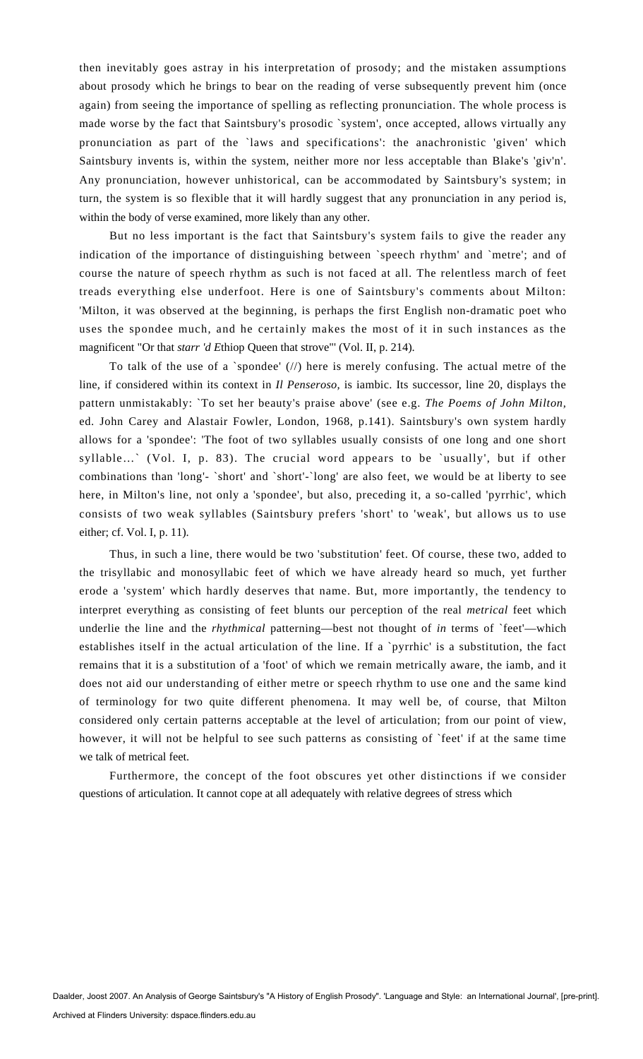then inevitably goes astray in his interpretation of prosody; and the mistaken assumptions about prosody which he brings to bear on the reading of verse subsequently prevent him (once again) from seeing the importance of spelling as reflecting pronunciation. The whole process is made worse by the fact that Saintsbury's prosodic `system', once accepted, allows virtually any pronunciation as part of the `laws and specifications': the anachronistic 'given' which Saintsbury invents is, within the system, neither more nor less acceptable than Blake's 'giv'n'. Any pronunciation, however unhistorical, can be accommodated by Saintsbury's system; in turn, the system is so flexible that it will hardly suggest that any pronunciation in any period is, within the body of verse examined, more likely than any other.

But no less important is the fact that Saintsbury's system fails to give the reader any indication of the importance of distinguishing between `speech rhythm' and `metre'; and of course the nature of speech rhythm as such is not faced at all. The relentless march of feet treads everything else underfoot. Here is one of Saintsbury's comments about Milton: 'Milton, it was observed at the beginning, is perhaps the first English non-dramatic poet who uses the spondee much, and he certainly makes the most of it in such instances as the magnificent "Or that *starr 'd E*thiop Queen that strove"' (Vol. II, p. 214).

To talk of the use of a `spondee'  $\langle \frac{1}{\rangle}$  here is merely confusing. The actual metre of the line, if considered within its context in *Il Penseroso,* is iambic. Its successor, line 20, displays the pattern unmistakably: `To set her beauty's praise above' (see e.g. *The Poems of John Milton,*  ed. John Carey and Alastair Fowler, London, 1968, p.141). Saintsbury's own system hardly allows for a 'spondee': 'The foot of two syllables usually consists of one long and one short syllable…` (Vol. I, p. 83). The crucial word appears to be `usually', but if other combinations than 'long'- `short' and `short'-`long' are also feet, we would be at liberty to see here, in Milton's line, not only a 'spondee', but also, preceding it, a so-called 'pyrrhic', which consists of two weak syllables (Saintsbury prefers 'short' to 'weak', but allows us to use either; cf. Vol. I, p. 11).

Thus, in such a line, there would be two 'substitution' feet. Of course, these two, added to the trisyllabic and monosyllabic feet of which we have already heard so much, yet further erode a 'system' which hardly deserves that name. But, more importantly, the tendency to interpret everything as consisting of feet blunts our perception of the real *metrical* feet which underlie the line and the *rhythmical* patterning—best not thought of *in* terms of `feet'—which establishes itself in the actual articulation of the line. If a 'pyrrhic' is a substitution, the fact remains that it is a substitution of a 'foot' of which we remain metrically aware, the iamb, and it does not aid our understanding of either metre or speech rhythm to use one and the same kind of terminology for two quite different phenomena. It may well be, of course, that Milton considered only certain patterns acceptable at the level of articulation; from our point of view, however, it will not be helpful to see such patterns as consisting of `feet' if at the same time we talk of metrical feet.

Furthermore, the concept of the foot obscures yet other distinctions if we consider questions of articulation. It cannot cope at all adequately with relative degrees of stress which